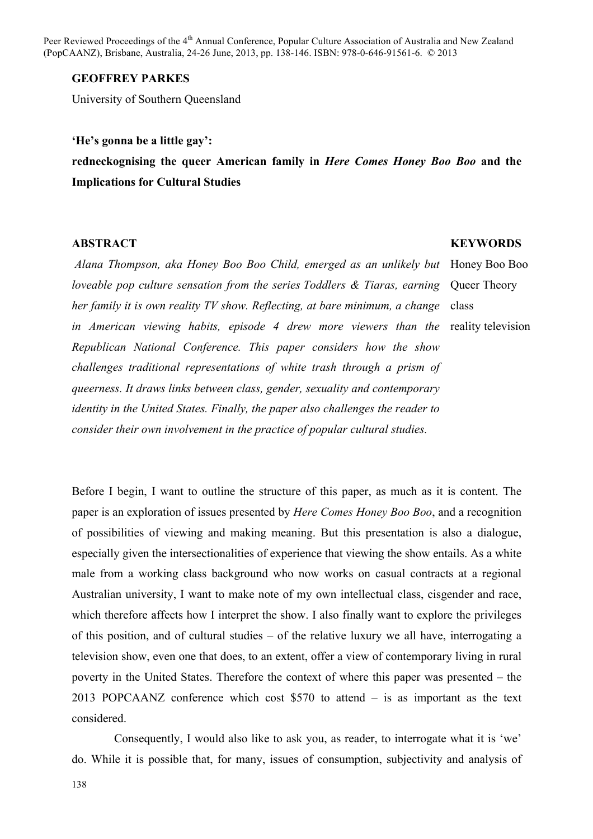Peer Reviewed Proceedings of the 4<sup>th</sup> Annual Conference, Popular Culture Association of Australia and New Zealand (PopCAANZ), Brisbane, Australia, 24-26 June, 2013, pp. 138-146. ISBN: 978-0-646-91561-6. © 2013

### **GEOFFREY PARKES**

University of Southern Queensland

## **'He's gonna be a little gay':**

**redneckognising the queer American family in** *Here Comes Honey Boo Boo* **and the Implications for Cultural Studies**

#### **ABSTRACT**

*Alana Thompson, aka Honey Boo Boo Child, emerged as an unlikely but loveable pop culture sensation from the series Toddlers & Tiaras, earning*  her family it is own reality TV show. Reflecting, at bare minimum, a change class *in American viewing habits, episode 4 drew more viewers than the Republican National Conference. This paper considers how the show challenges traditional representations of white trash through a prism of queerness. It draws links between class, gender, sexuality and contemporary identity in the United States. Finally, the paper also challenges the reader to consider their own involvement in the practice of popular cultural studies.*

**KEYWORDS**

Honey Boo Boo Queer Theory reality television

Before I begin, I want to outline the structure of this paper, as much as it is content. The paper is an exploration of issues presented by *Here Comes Honey Boo Boo*, and a recognition of possibilities of viewing and making meaning. But this presentation is also a dialogue, especially given the intersectionalities of experience that viewing the show entails. As a white male from a working class background who now works on casual contracts at a regional Australian university, I want to make note of my own intellectual class, cisgender and race, which therefore affects how I interpret the show. I also finally want to explore the privileges of this position, and of cultural studies – of the relative luxury we all have, interrogating a television show, even one that does, to an extent, offer a view of contemporary living in rural poverty in the United States. Therefore the context of where this paper was presented – the 2013 POPCAANZ conference which cost \$570 to attend – is as important as the text considered.

Consequently, I would also like to ask you, as reader, to interrogate what it is 'we' do. While it is possible that, for many, issues of consumption, subjectivity and analysis of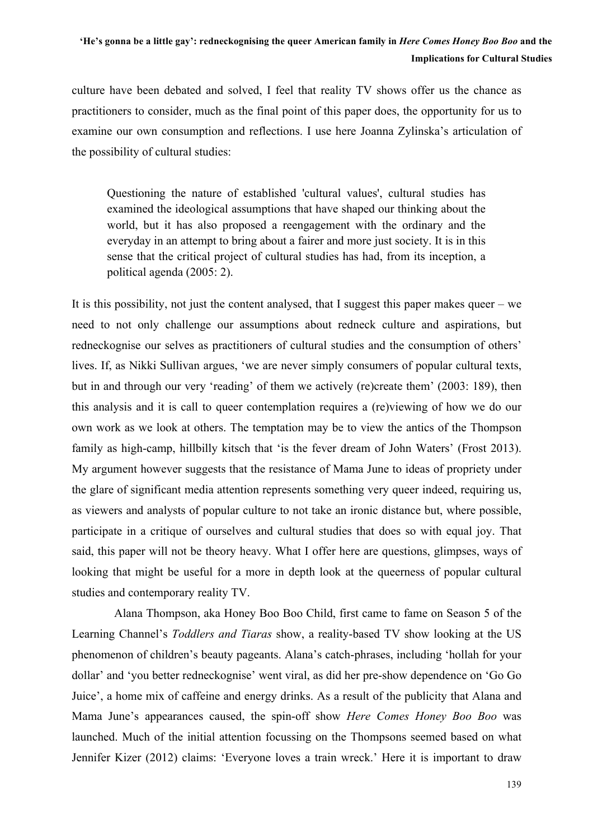culture have been debated and solved, I feel that reality TV shows offer us the chance as practitioners to consider, much as the final point of this paper does, the opportunity for us to examine our own consumption and reflections. I use here Joanna Zylinska's articulation of the possibility of cultural studies:

Questioning the nature of established 'cultural values', cultural studies has examined the ideological assumptions that have shaped our thinking about the world, but it has also proposed a reengagement with the ordinary and the everyday in an attempt to bring about a fairer and more just society. It is in this sense that the critical project of cultural studies has had, from its inception, a political agenda (2005: 2).

It is this possibility, not just the content analysed, that I suggest this paper makes queer – we need to not only challenge our assumptions about redneck culture and aspirations, but redneckognise our selves as practitioners of cultural studies and the consumption of others' lives. If, as Nikki Sullivan argues, 'we are never simply consumers of popular cultural texts, but in and through our very 'reading' of them we actively (re)create them' (2003: 189), then this analysis and it is call to queer contemplation requires a (re)viewing of how we do our own work as we look at others. The temptation may be to view the antics of the Thompson family as high-camp, hillbilly kitsch that 'is the fever dream of John Waters' (Frost 2013). My argument however suggests that the resistance of Mama June to ideas of propriety under the glare of significant media attention represents something very queer indeed, requiring us, as viewers and analysts of popular culture to not take an ironic distance but, where possible, participate in a critique of ourselves and cultural studies that does so with equal joy. That said, this paper will not be theory heavy. What I offer here are questions, glimpses, ways of looking that might be useful for a more in depth look at the queerness of popular cultural studies and contemporary reality TV.

Alana Thompson, aka Honey Boo Boo Child, first came to fame on Season 5 of the Learning Channel's *Toddlers and Tiaras* show, a reality-based TV show looking at the US phenomenon of children's beauty pageants. Alana's catch-phrases, including 'hollah for your dollar' and 'you better redneckognise' went viral, as did her pre-show dependence on 'Go Go Juice', a home mix of caffeine and energy drinks. As a result of the publicity that Alana and Mama June's appearances caused, the spin-off show *Here Comes Honey Boo Boo* was launched. Much of the initial attention focussing on the Thompsons seemed based on what Jennifer Kizer (2012) claims: 'Everyone loves a train wreck.' Here it is important to draw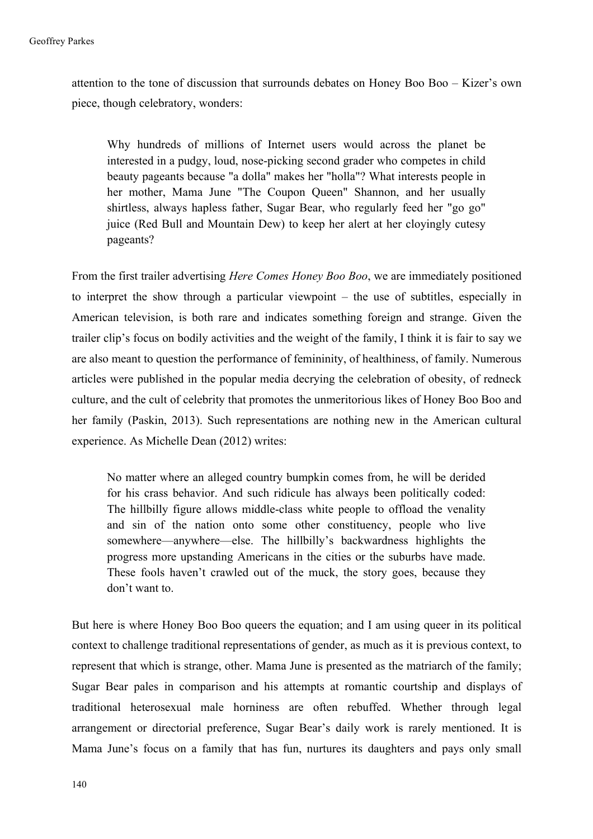attention to the tone of discussion that surrounds debates on Honey Boo Boo – Kizer's own piece, though celebratory, wonders:

Why hundreds of millions of Internet users would across the planet be interested in a pudgy, loud, nose-picking second grader who competes in child beauty pageants because "a dolla" makes her "holla"? What interests people in her mother, Mama June "The Coupon Queen" Shannon, and her usually shirtless, always hapless father, Sugar Bear, who regularly feed her "go go" juice (Red Bull and Mountain Dew) to keep her alert at her cloyingly cutesy pageants?

From the first trailer advertising *Here Comes Honey Boo Boo*, we are immediately positioned to interpret the show through a particular viewpoint – the use of subtitles, especially in American television, is both rare and indicates something foreign and strange. Given the trailer clip's focus on bodily activities and the weight of the family, I think it is fair to say we are also meant to question the performance of femininity, of healthiness, of family. Numerous articles were published in the popular media decrying the celebration of obesity, of redneck culture, and the cult of celebrity that promotes the unmeritorious likes of Honey Boo Boo and her family (Paskin, 2013). Such representations are nothing new in the American cultural experience. As Michelle Dean (2012) writes:

No matter where an alleged country bumpkin comes from, he will be derided for his crass behavior. And such ridicule has always been politically coded: The hillbilly figure allows middle-class white people to offload the venality and sin of the nation onto some other constituency, people who live somewhere—anywhere—else. The hillbilly's backwardness highlights the progress more upstanding Americans in the cities or the suburbs have made. These fools haven't crawled out of the muck, the story goes, because they don't want to.

But here is where Honey Boo Boo queers the equation; and I am using queer in its political context to challenge traditional representations of gender, as much as it is previous context, to represent that which is strange, other. Mama June is presented as the matriarch of the family; Sugar Bear pales in comparison and his attempts at romantic courtship and displays of traditional heterosexual male horniness are often rebuffed. Whether through legal arrangement or directorial preference, Sugar Bear's daily work is rarely mentioned. It is Mama June's focus on a family that has fun, nurtures its daughters and pays only small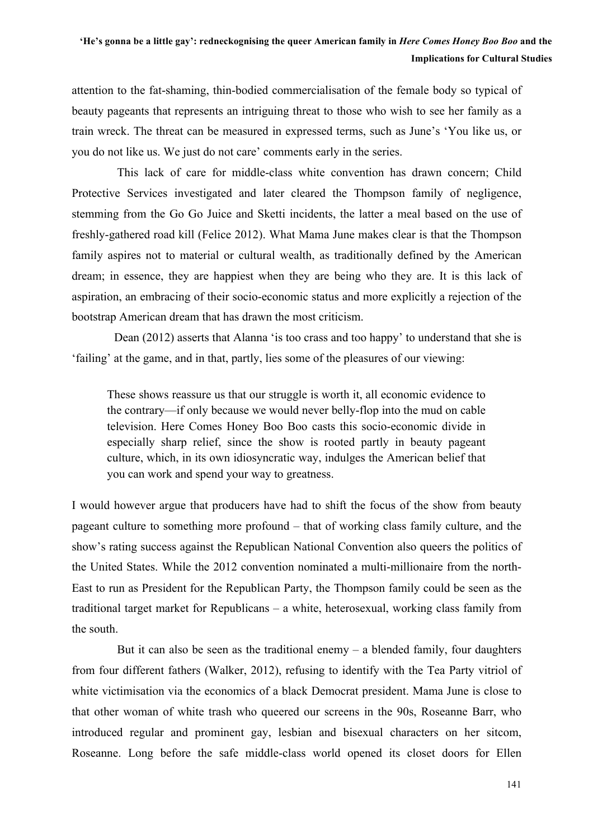attention to the fat-shaming, thin-bodied commercialisation of the female body so typical of beauty pageants that represents an intriguing threat to those who wish to see her family as a train wreck. The threat can be measured in expressed terms, such as June's 'You like us, or you do not like us. We just do not care' comments early in the series.

This lack of care for middle-class white convention has drawn concern; Child Protective Services investigated and later cleared the Thompson family of negligence, stemming from the Go Go Juice and Sketti incidents, the latter a meal based on the use of freshly-gathered road kill (Felice 2012). What Mama June makes clear is that the Thompson family aspires not to material or cultural wealth, as traditionally defined by the American dream; in essence, they are happiest when they are being who they are. It is this lack of aspiration, an embracing of their socio-economic status and more explicitly a rejection of the bootstrap American dream that has drawn the most criticism.

Dean (2012) asserts that Alanna 'is too crass and too happy' to understand that she is 'failing' at the game, and in that, partly, lies some of the pleasures of our viewing:

These shows reassure us that our struggle is worth it, all economic evidence to the contrary—if only because we would never belly-flop into the mud on cable television. Here Comes Honey Boo Boo casts this socio-economic divide in especially sharp relief, since the show is rooted partly in beauty pageant culture, which, in its own idiosyncratic way, indulges the American belief that you can work and spend your way to greatness.

I would however argue that producers have had to shift the focus of the show from beauty pageant culture to something more profound – that of working class family culture, and the show's rating success against the Republican National Convention also queers the politics of the United States. While the 2012 convention nominated a multi-millionaire from the north-East to run as President for the Republican Party, the Thompson family could be seen as the traditional target market for Republicans – a white, heterosexual, working class family from the south.

But it can also be seen as the traditional enemy  $-$  a blended family, four daughters from four different fathers (Walker, 2012), refusing to identify with the Tea Party vitriol of white victimisation via the economics of a black Democrat president. Mama June is close to that other woman of white trash who queered our screens in the 90s, Roseanne Barr, who introduced regular and prominent gay, lesbian and bisexual characters on her sitcom, Roseanne. Long before the safe middle-class world opened its closet doors for Ellen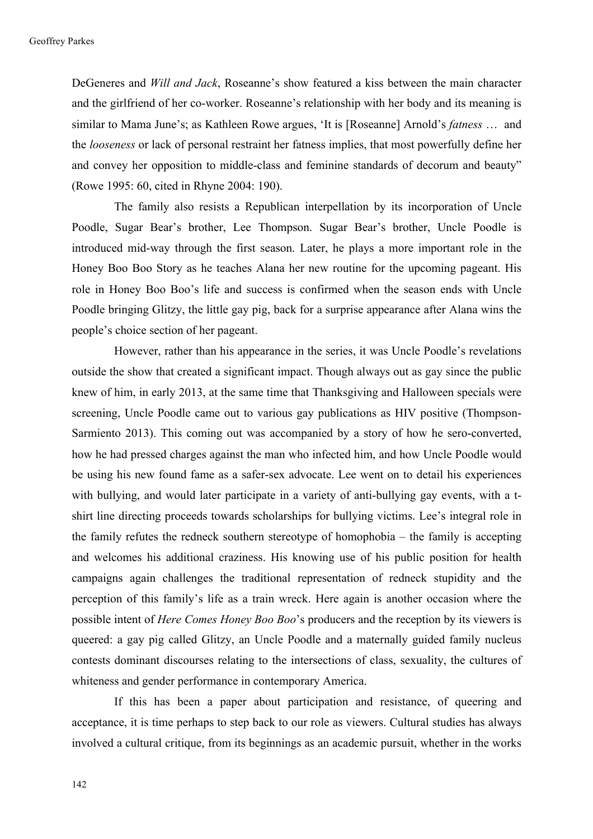DeGeneres and *Will and Jack*, Roseanne's show featured a kiss between the main character and the girlfriend of her co-worker. Roseanne's relationship with her body and its meaning is similar to Mama June's; as Kathleen Rowe argues, 'It is [Roseanne] Arnold's *fatness* … and the *looseness* or lack of personal restraint her fatness implies, that most powerfully define her and convey her opposition to middle-class and feminine standards of decorum and beauty" (Rowe 1995: 60, cited in Rhyne 2004: 190).

The family also resists a Republican interpellation by its incorporation of Uncle Poodle, Sugar Bear's brother, Lee Thompson. Sugar Bear's brother, Uncle Poodle is introduced mid-way through the first season. Later, he plays a more important role in the Honey Boo Boo Story as he teaches Alana her new routine for the upcoming pageant. His role in Honey Boo Boo's life and success is confirmed when the season ends with Uncle Poodle bringing Glitzy, the little gay pig, back for a surprise appearance after Alana wins the people's choice section of her pageant.

However, rather than his appearance in the series, it was Uncle Poodle's revelations outside the show that created a significant impact. Though always out as gay since the public knew of him, in early 2013, at the same time that Thanksgiving and Halloween specials were screening, Uncle Poodle came out to various gay publications as HIV positive (Thompson-Sarmiento 2013). This coming out was accompanied by a story of how he sero-converted, how he had pressed charges against the man who infected him, and how Uncle Poodle would be using his new found fame as a safer-sex advocate. Lee went on to detail his experiences with bullying, and would later participate in a variety of anti-bullying gay events, with a tshirt line directing proceeds towards scholarships for bullying victims. Lee's integral role in the family refutes the redneck southern stereotype of homophobia – the family is accepting and welcomes his additional craziness. His knowing use of his public position for health campaigns again challenges the traditional representation of redneck stupidity and the perception of this family's life as a train wreck. Here again is another occasion where the possible intent of *Here Comes Honey Boo Boo*'s producers and the reception by its viewers is queered: a gay pig called Glitzy, an Uncle Poodle and a maternally guided family nucleus contests dominant discourses relating to the intersections of class, sexuality, the cultures of whiteness and gender performance in contemporary America.

If this has been a paper about participation and resistance, of queering and acceptance, it is time perhaps to step back to our role as viewers. Cultural studies has always involved a cultural critique, from its beginnings as an academic pursuit, whether in the works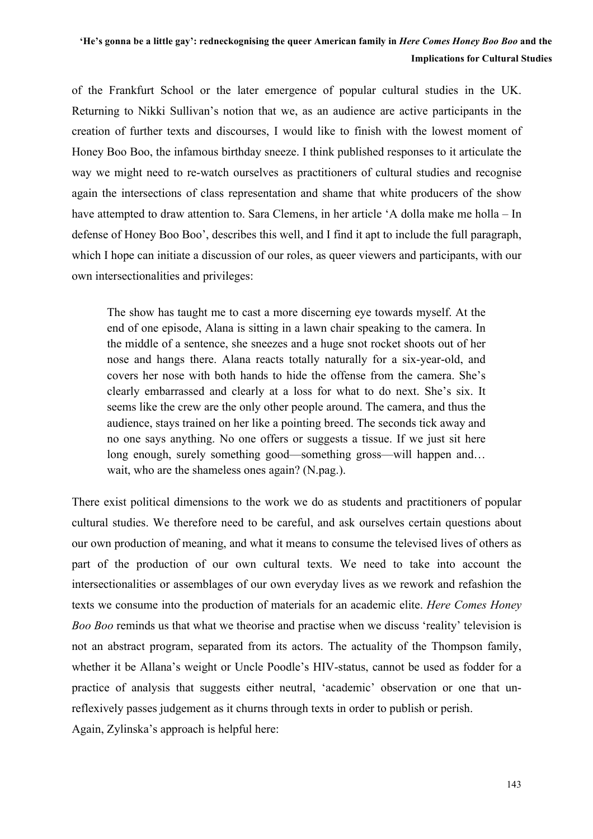of the Frankfurt School or the later emergence of popular cultural studies in the UK. Returning to Nikki Sullivan's notion that we, as an audience are active participants in the creation of further texts and discourses, I would like to finish with the lowest moment of Honey Boo Boo, the infamous birthday sneeze. I think published responses to it articulate the way we might need to re-watch ourselves as practitioners of cultural studies and recognise again the intersections of class representation and shame that white producers of the show have attempted to draw attention to. Sara Clemens, in her article 'A dolla make me holla – In defense of Honey Boo Boo', describes this well, and I find it apt to include the full paragraph, which I hope can initiate a discussion of our roles, as queer viewers and participants, with our own intersectionalities and privileges:

The show has taught me to cast a more discerning eye towards myself. At the end of one episode, Alana is sitting in a lawn chair speaking to the camera. In the middle of a sentence, she sneezes and a huge snot rocket shoots out of her nose and hangs there. Alana reacts totally naturally for a six-year-old, and covers her nose with both hands to hide the offense from the camera. She's clearly embarrassed and clearly at a loss for what to do next. She's six. It seems like the crew are the only other people around. The camera, and thus the audience, stays trained on her like a pointing breed. The seconds tick away and no one says anything. No one offers or suggests a tissue. If we just sit here long enough, surely something good—something gross—will happen and… wait, who are the shameless ones again? (N.pag.).

There exist political dimensions to the work we do as students and practitioners of popular cultural studies. We therefore need to be careful, and ask ourselves certain questions about our own production of meaning, and what it means to consume the televised lives of others as part of the production of our own cultural texts. We need to take into account the intersectionalities or assemblages of our own everyday lives as we rework and refashion the texts we consume into the production of materials for an academic elite. *Here Comes Honey Boo Boo* reminds us that what we theorise and practise when we discuss 'reality' television is not an abstract program, separated from its actors. The actuality of the Thompson family, whether it be Allana's weight or Uncle Poodle's HIV-status, cannot be used as fodder for a practice of analysis that suggests either neutral, 'academic' observation or one that unreflexively passes judgement as it churns through texts in order to publish or perish. Again, Zylinska's approach is helpful here: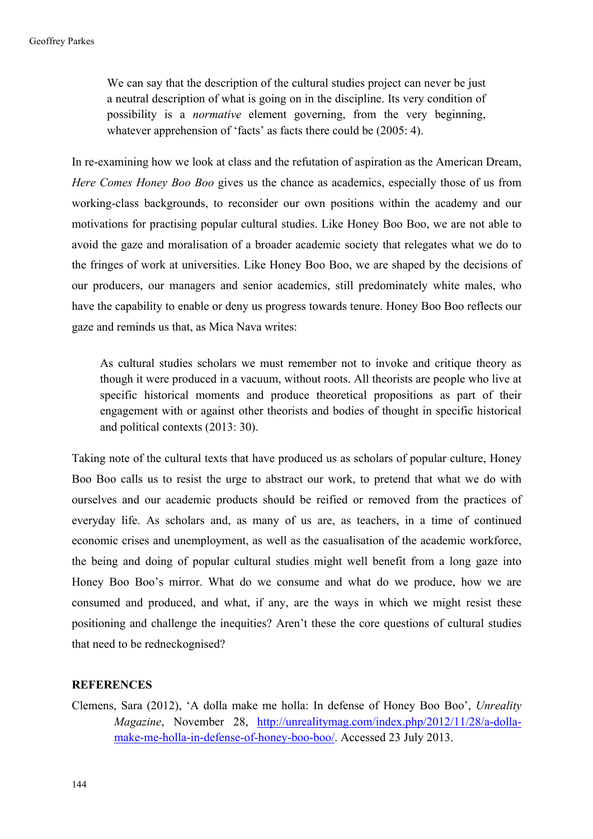We can say that the description of the cultural studies project can never be just a neutral description of what is going on in the discipline. Its very condition of possibility is a *normative* element governing, from the very beginning, whatever apprehension of 'facts' as facts there could be  $(2005: 4)$ .

In re-examining how we look at class and the refutation of aspiration as the American Dream, *Here Comes Honey Boo Boo* gives us the chance as academics, especially those of us from working-class backgrounds, to reconsider our own positions within the academy and our motivations for practising popular cultural studies. Like Honey Boo Boo, we are not able to avoid the gaze and moralisation of a broader academic society that relegates what we do to the fringes of work at universities. Like Honey Boo Boo, we are shaped by the decisions of our producers, our managers and senior academics, still predominately white males, who have the capability to enable or deny us progress towards tenure. Honey Boo Boo reflects our gaze and reminds us that, as Mica Nava writes:

As cultural studies scholars we must remember not to invoke and critique theory as though it were produced in a vacuum, without roots. All theorists are people who live at specific historical moments and produce theoretical propositions as part of their engagement with or against other theorists and bodies of thought in specific historical and political contexts (2013: 30).

Taking note of the cultural texts that have produced us as scholars of popular culture, Honey Boo Boo calls us to resist the urge to abstract our work, to pretend that what we do with ourselves and our academic products should be reified or removed from the practices of everyday life. As scholars and, as many of us are, as teachers, in a time of continued economic crises and unemployment, as well as the casualisation of the academic workforce, the being and doing of popular cultural studies might well benefit from a long gaze into Honey Boo Boo's mirror. What do we consume and what do we produce, how we are consumed and produced, and what, if any, are the ways in which we might resist these positioning and challenge the inequities? Aren't these the core questions of cultural studies that need to be redneckognised?

### **REFERENCES**

Clemens, Sara (2012), 'A dolla make me holla: In defense of Honey Boo Boo', *Unreality Magazine*, November 28, http://unrealitymag.com/index.php/2012/11/28/a-dollamake-me-holla-in-defense-of-honey-boo-boo/. Accessed 23 July 2013.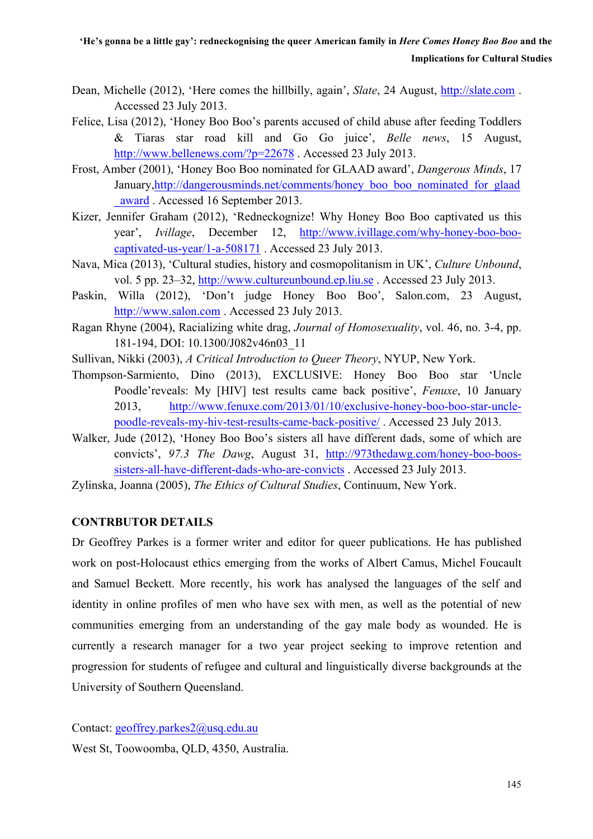- Dean, Michelle (2012), 'Here comes the hillbilly, again', *Slate*, 24 August, http://slate.com . Accessed 23 July 2013.
- Felice, Lisa (2012), 'Honey Boo Boo's parents accused of child abuse after feeding Toddlers & Tiaras star road kill and Go Go juice', *Belle news*, 15 August, http://www.bellenews.com/?p=22678 . Accessed 23 July 2013.
- Frost, Amber (2001), 'Honey Boo Boo nominated for GLAAD award', *Dangerous Minds*, 17 January,http://dangerousminds.net/comments/honey\_boo\_boo\_nominated\_for\_glaad \_award . Accessed 16 September 2013.
- Kizer, Jennifer Graham (2012), 'Redneckognize! Why Honey Boo Boo captivated us this year', *Ivillage*, December 12, http://www.ivillage.com/why-honey-boo-boocaptivated-us-year/1-a-508171 . Accessed 23 July 2013.
- Nava, Mica (2013), 'Cultural studies, history and cosmopolitanism in UK', *Culture Unbound*, vol. 5 pp. 23–32, http://www.cultureunbound.ep.liu.se . Accessed 23 July 2013.
- Paskin, Willa (2012), 'Don't judge Honey Boo Boo', Salon.com, 23 August, http://www.salon.com . Accessed 23 July 2013.
- Ragan Rhyne (2004), Racializing white drag, *Journal of Homosexuality*, vol. 46, no. 3-4, pp. 181-194, DOI: 10.1300/J082v46n03\_11
- Sullivan, Nikki (2003), *A Critical Introduction to Queer Theory*, NYUP, New York.
- Thompson-Sarmiento, Dino (2013), EXCLUSIVE: Honey Boo Boo star 'Uncle Poodle'reveals: My [HIV] test results came back positive', *Fenuxe*, 10 January 2013, http://www.fenuxe.com/2013/01/10/exclusive-honey-boo-boo-star-unclepoodle-reveals-my-hiv-test-results-came-back-positive/ . Accessed 23 July 2013.
- Walker, Jude (2012), 'Honey Boo Boo's sisters all have different dads, some of which are convicts', *97.3 The Dawg*, August 31, http://973thedawg.com/honey-boo-boossisters-all-have-different-dads-who-are-convicts . Accessed 23 July 2013.
- Zylinska, Joanna (2005), *The Ethics of Cultural Studies*, Continuum, New York.

# **CONTRBUTOR DETAILS**

Dr Geoffrey Parkes is a former writer and editor for queer publications. He has published work on post-Holocaust ethics emerging from the works of Albert Camus, Michel Foucault and Samuel Beckett. More recently, his work has analysed the languages of the self and identity in online profiles of men who have sex with men, as well as the potential of new communities emerging from an understanding of the gay male body as wounded. He is currently a research manager for a two year project seeking to improve retention and progression for students of refugee and cultural and linguistically diverse backgrounds at the University of Southern Queensland.

Contact: geoffrey.parkes2@usq.edu.au

West St, Toowoomba, QLD, 4350, Australia.